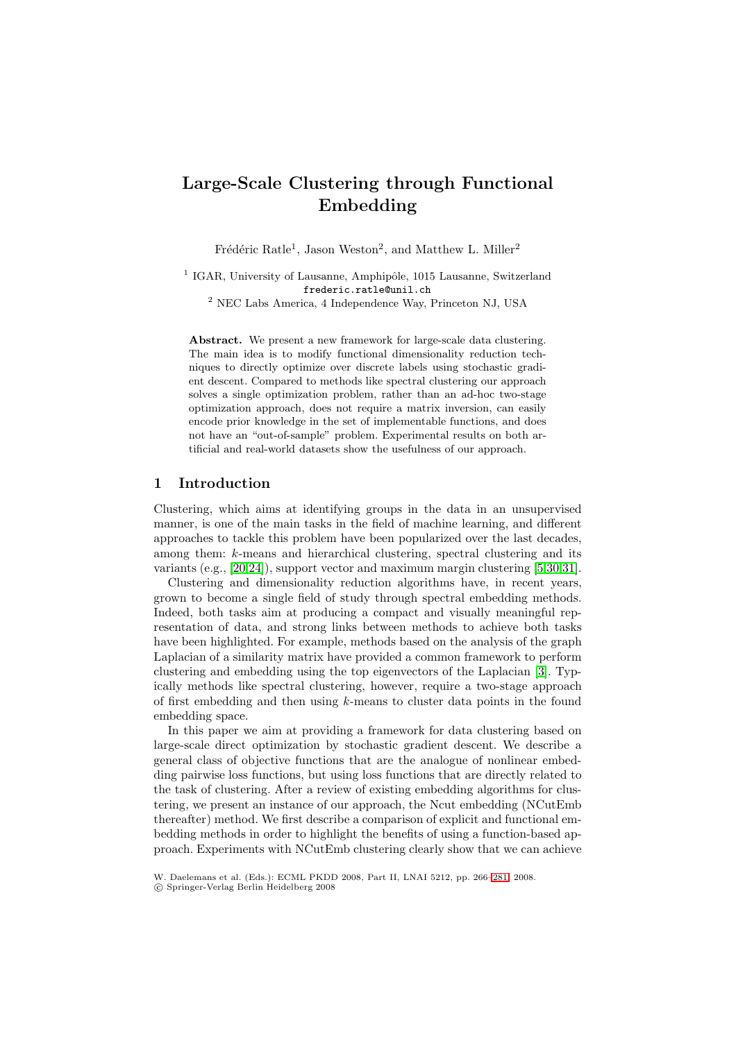# **Large-Scale Clustering through Functional Embedding**

Frédéric Ratle<sup>1</sup>, Jason Weston<sup>2</sup>, and Matthew L. Miller<sup>2</sup>

 $^1$  IGAR, University of Lausanne, Amphipôle, 1015 Lausanne, Switzerland frederic.ratle@unil.ch

<sup>2</sup> NEC Labs America, 4 Independence Way, Princeton NJ, USA

**Abstract.** We present a new framework for large-scale data clustering. The main idea is to modify functional dimensionality reduction techniques to directly optimize over discrete labels using stochastic gradient descent. Compared to methods like spectral clustering our approach solves a single optimization problem, rather than an ad-hoc two-stage optimization approach, does not require a matrix inversion, can easily encode prior knowledge in the set of implementable functions, and does not have an "out-of-sample" problem. Experimental results on both artificial and real-world datasets show the usefulness of our approach.

# **1 Introduction**

Clustering, which aims at identifying groups in the data in an unsupervised manner, is one of the main tasks in the field of machine learning, and different approaches to tackle this problem have been popularized over the last decades, among them: k-means and hierarchical clustering, spectral clustering and its variants (e.g., [\[20](#page-15-0)[,24\]](#page-15-1)), support vector and maximum margin clustering [\[5](#page-14-0)[,30,](#page-15-2)[31\]](#page-15-3).

Clustering and dimensionality reduction algorithms have, in recent years, grown to become a single field of study through spectral embedding methods. Indeed, both tasks aim at producing a compact and visually meaningful representation of data, and strong links between methods to achieve both tasks have been highlighted. For example, methods based on the analysis of the graph Laplacian of a similarity matrix have provided a common framework to perform clustering and embedding using the top eigenvectors of the Laplacian [\[3\]](#page-14-1). Typically methods like spectral clustering, however, require a two-stage approach of first embedding and then using k-means to cluster data points in the found embedding space.

In this paper we aim at providing a framework for data clustering based on large-scale direct optimization by stochastic gradient descent. We describe a general class of objective functions that are the analogue of nonlinear embedding pairwise loss functions, but using loss functions that are directly related to the task of clustering. After a review of existing embedding algorithms for clustering, we present an instance of our approach, the Ncut embedding (NCutEmb thereafter) method. We first describe a comparison of explicit and functional embedding methods in order to highlight the benefits of using a function-based approach. Experiments with NCutEmb clustering clearly show that we can achieve

W. Daelemans et al. (Eds.): ECML PKDD 2008, Part II, LNAI 5212, pp. 266[–281,](#page-14-2) 2008.

<sup>-</sup>c Springer-Verlag Berlin Heidelberg 2008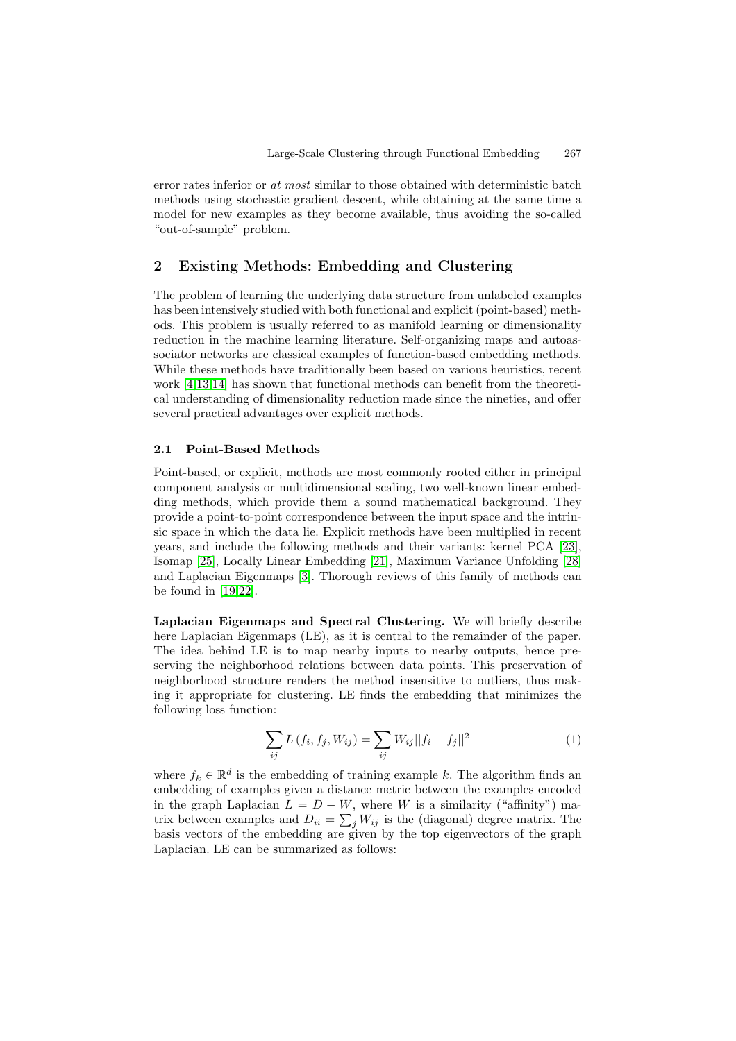error rates inferior or *at most* similar to those obtained with deterministic batch methods using stochastic gradient descent, while obtaining at the same time a model for new examples as they become available, thus avoiding the so-called "out-of-sample" problem.

# **2 Existing Methods: Embedding and Clustering**

The problem of learning the underlying data structure from unlabeled examples has been intensively studied with both functional and explicit (point-based) methods. This problem is usually referred to as manifold learning or dimensionality reduction in the machine learning literature. Self-organizing maps and autoassociator networks are classical examples of function-based embedding methods. While these methods have traditionally been based on various heuristics, recent work [\[4](#page-14-3)[,13,](#page-14-4)[14\]](#page-14-5) has shown that functional methods can benefit from the theoretical understanding of dimensionality reduction made since the nineties, and offer several practical advantages over explicit methods.

#### **2.1 Point-Based Methods**

Point-based, or explicit, methods are most commonly rooted either in principal component analysis or multidimensional scaling, two well-known linear embedding methods, which provide them a sound mathematical background. They provide a point-to-point correspondence between the input space and the intrinsic space in which the data lie. Explicit methods have been multiplied in recent years, and include the following methods and their variants: kernel PCA [\[23\]](#page-15-4), Isomap [\[25\]](#page-15-5), Locally Linear Embedding [\[21\]](#page-15-6), Maximum Variance Unfolding [\[28\]](#page-15-7) and Laplacian Eigenmaps [\[3\]](#page-14-1). Thorough reviews of this family of methods can be found in [\[19](#page-15-8)[,22\]](#page-15-9).

**Laplacian Eigenmaps and Spectral Clustering.** We will briefly describe here Laplacian Eigenmaps (LE), as it is central to the remainder of the paper. The idea behind LE is to map nearby inputs to nearby outputs, hence preserving the neighborhood relations between data points. This preservation of neighborhood structure renders the method insensitive to outliers, thus making it appropriate for clustering. LE finds the embedding that minimizes the following loss function:

$$
\sum_{ij} L(f_i, f_j, W_{ij}) = \sum_{ij} W_{ij} ||f_i - f_j||^2
$$
\n(1)

<span id="page-1-0"></span>where  $f_k \in \mathbb{R}^d$  is the embedding of training example k. The algorithm finds an embedding of examples given a distance metric between the examples encoded in the graph Laplacian  $L = D - W$ , where W is a similarity ("affinity") ma-<br>trix between examples and  $D \cdot \cdot = \sum W \cdot$  is the (diagonal) degree matrix. The trix between examples and  $D_{ii} = \sum_j W_{ij}$  is the (diagonal) degree matrix. The basis vectors of the embedding are given by the top eigenvectors of the graph basis vectors of the embedding are given by the top eigenvectors of the graph Laplacian. LE can be summarized as follows: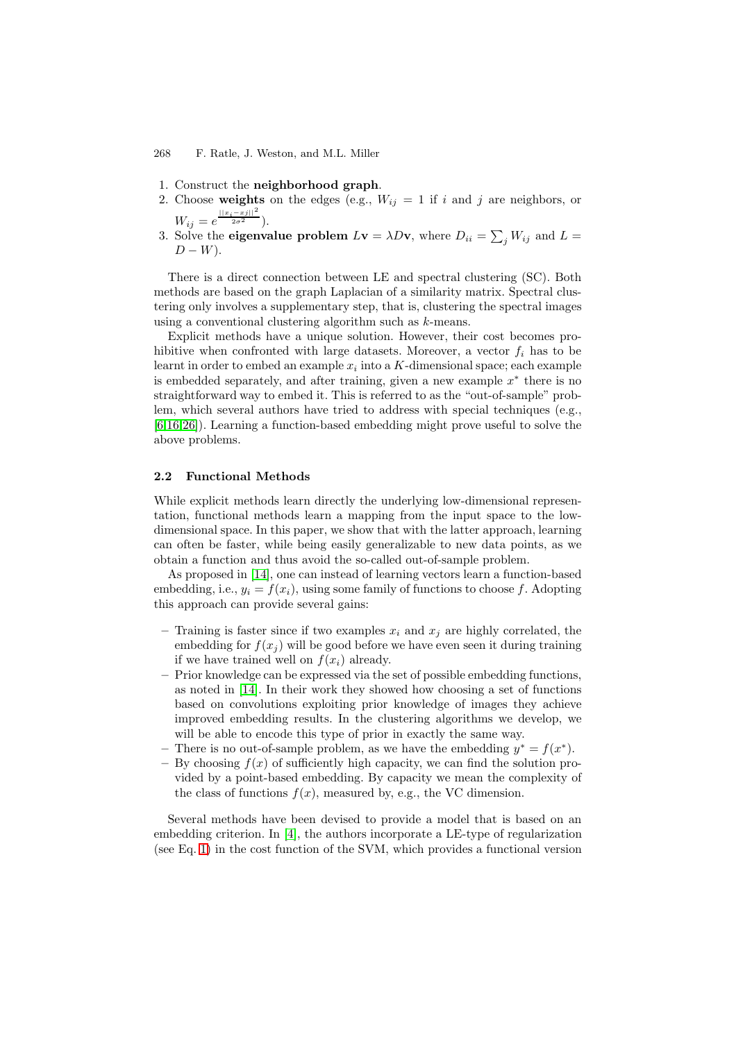- 1. Construct the **neighborhood graph**.
- 2. Choose weights on the edges (e.g.,  $W_{ij} = 1$  if i and j are neighbors, or  $W_{ij} = e^{\frac{||x_i - x_j||^2}{2\sigma^2}}.$ <br>Solve the **eigenv**
- 3. Solve the **eigenvalue problem**  $L\mathbf{v} = \lambda D\mathbf{v}$ , where  $D_{ii} = \sum_j W_{ij}$  and  $L = D W$  $D - W$ ).

There is a direct connection between LE and spectral clustering (SC). Both methods are based on the graph Laplacian of a similarity matrix. Spectral clustering only involves a supplementary step, that is, clustering the spectral images using a conventional clustering algorithm such as k-means.

Explicit methods have a unique solution. However, their cost becomes prohibitive when confronted with large datasets. Moreover, a vector  $f_i$  has to be learnt in order to embed an example  $x_i$  into a K-dimensional space; each example is embedded separately, and after training, given a new example  $x^*$  there is no straightforward way to embed it. This is referred to as the "out-of-sample" problem, which several authors have tried to address with special techniques (e.g., [\[6,](#page-14-6)[16,](#page-14-7)[26\]](#page-15-10)). Learning a function-based embedding might prove useful to solve the above problems.

## **2.2 Functional Methods**

While explicit methods learn directly the underlying low-dimensional representation, functional methods learn a mapping from the input space to the lowdimensional space. In this paper, we show that with the latter approach, learning can often be faster, while being easily generalizable to new data points, as we obtain a function and thus avoid the so-called out-of-sample problem.

As proposed in [\[14\]](#page-14-5), one can instead of learning vectors learn a function-based embedding, i.e.,  $y_i = f(x_i)$ , using some family of functions to choose f. Adopting this approach can provide several gains:

- Training is faster since if two examples  $x_i$  and  $x_j$  are highly correlated, the embedding for  $f(x_i)$  will be good before we have even seen it during training if we have trained well on  $f(x_i)$  already.
- **–** Prior knowledge can be expressed via the set of possible embedding functions, as noted in [\[14\]](#page-14-5). In their work they showed how choosing a set of functions based on convolutions exploiting prior knowledge of images they achieve improved embedding results. In the clustering algorithms we develop, we will be able to encode this type of prior in exactly the same way.
- **–** There is no out-of-sample problem, as we have the embedding y<sup>∗</sup> <sup>=</sup> <sup>f</sup>(x<sup>∗</sup>).
- By choosing  $f(x)$  of sufficiently high capacity, we can find the solution provided by a point-based embedding. By capacity we mean the complexity of the class of functions  $f(x)$ , measured by, e.g., the VC dimension.

Several methods have been devised to provide a model that is based on an embedding criterion. In [\[4\]](#page-14-3), the authors incorporate a LE-type of regularization (see Eq. [1\)](#page-1-0) in the cost function of the SVM, which provides a functional version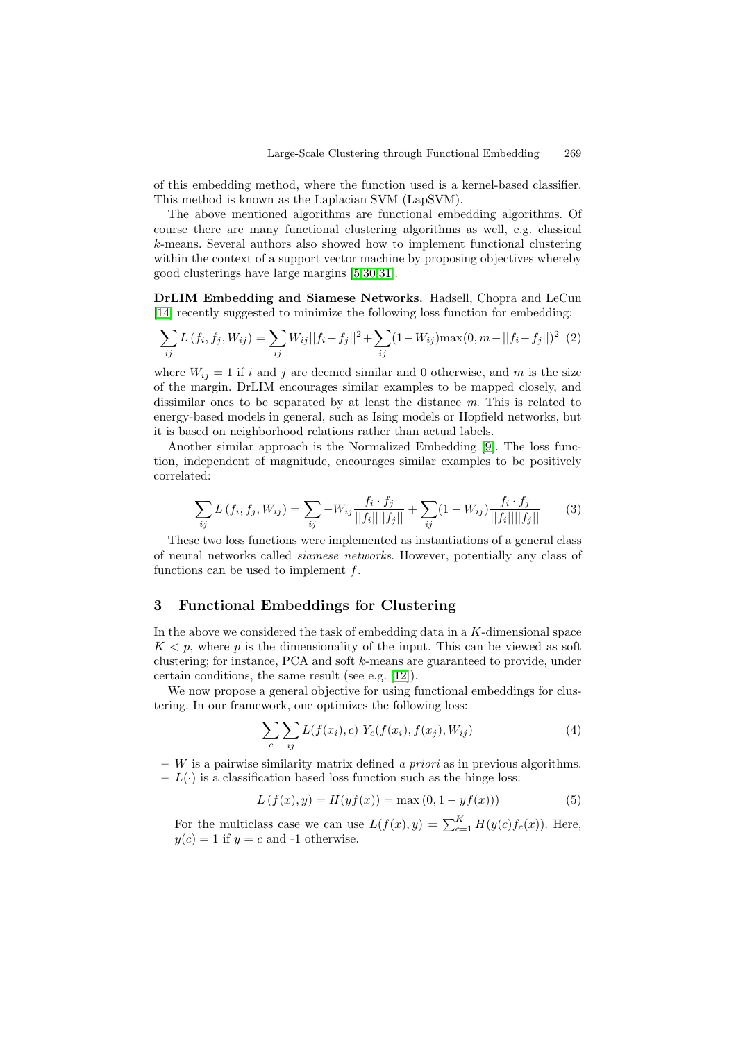of this embedding method, where the function used is a kernel-based classifier. This method is known as the Laplacian SVM (LapSVM).

The above mentioned algorithms are functional embedding algorithms. Of course there are many functional clustering algorithms as well, e.g. classical k-means. Several authors also showed how to implement functional clustering within the context of a support vector machine by proposing objectives whereby good clusterings have large margins [\[5,](#page-14-0)[30,](#page-15-2)[31\]](#page-15-3).

**DrLIM Embedding and Siamese Networks.** Hadsell, Chopra and LeCun [\[14\]](#page-14-5) recently suggested to minimize the following loss function for embedding:

$$
\sum_{ij} L(f_i, f_j, W_{ij}) = \sum_{ij} W_{ij} ||f_i - f_j||^2 + \sum_{ij} (1 - W_{ij}) \max(0, m - ||f_i - f_j||)^2
$$
 (2)

where  $W_{ij} = 1$  if i and j are deemed similar and 0 otherwise, and m is the size of the margin. DrLIM encourages similar examples to be mapped closely, and dissimilar ones to be separated by at least the distance *m*. This is related to energy-based models in general, such as Ising models or Hopfield networks, but it is based on neighborhood relations rather than actual labels.

Another similar approach is the Normalized Embedding [\[9\]](#page-14-8). The loss function, independent of magnitude, encourages similar examples to be positively correlated:

$$
\sum_{ij} L(f_i, f_j, W_{ij}) = \sum_{ij} -W_{ij} \frac{f_i \cdot f_j}{||f_i|| ||f_j||} + \sum_{ij} (1 - W_{ij}) \frac{f_i \cdot f_j}{||f_i|| ||f_j||}
$$
(3)

These two loss functions were implemented as instantiations of a general class of neural networks called *siamese networks*. However, potentially any class of functions can be used to implement  $f$ .

# **3 Functional Embeddings for Clustering**

In the above we considered the task of embedding data in a  $K$ -dimensional space  $K < p$ , where p is the dimensionality of the input. This can be viewed as soft clustering; for instance, PCA and soft k-means are guaranteed to provide, under certain conditions, the same result (see e.g. [\[12\]](#page-14-9)).

We now propose a general objective for using functional embeddings for clustering. In our framework, one optimizes the following loss:

$$
\sum_{c} \sum_{ij} L(f(x_i), c) \ Y_c(f(x_i), f(x_j), W_{ij}) \tag{4}
$$

**–** W is a pairwise similarity matrix defined *a priori* as in previous algorithms.  $- L(\cdot)$  is a classification based loss function such as the hinge loss:

$$
L(f(x), y) = H(yf(x)) = \max(0, 1 - yf(x)))
$$
\n(5)

For the multiclass case we can use  $L(f(x), y) = \sum_{c=1}^{K} H(y(c) f_c(x))$ . Here,  $y(c) = 1$  if  $y = c$  and -1 otherwise.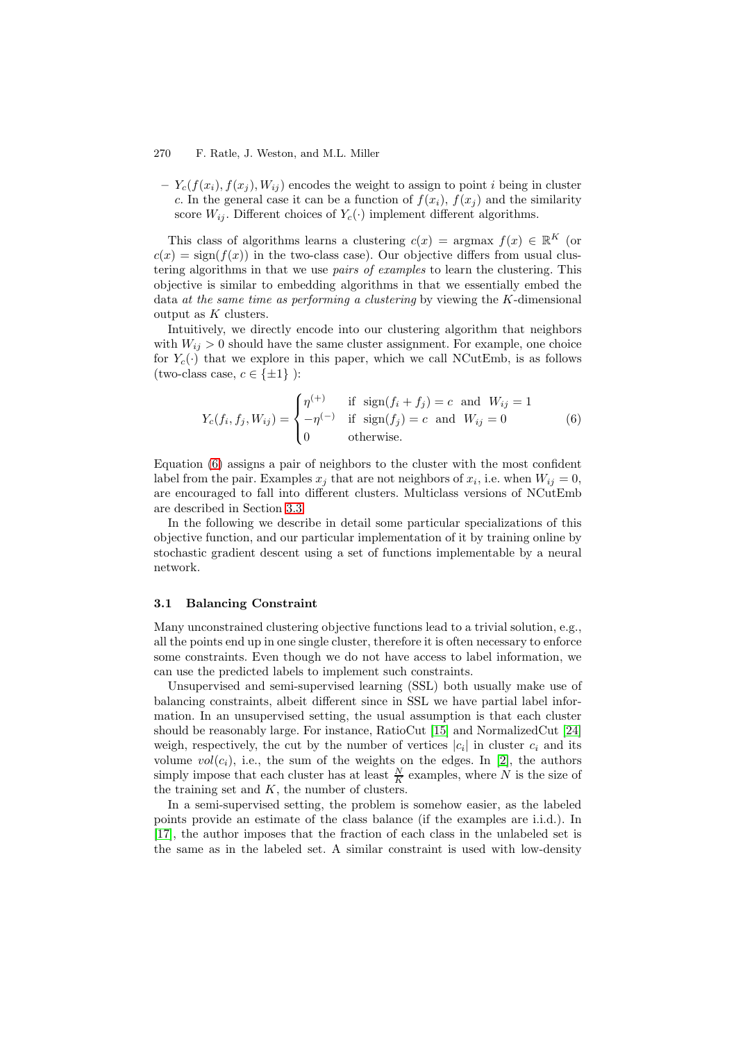$-V_c(f(x_i), f(x_j), W_{ii})$  encodes the weight to assign to point i being in cluster c. In the general case it can be a function of  $f(x_i)$ ,  $f(x_i)$  and the similarity score  $W_{ij}$ . Different choices of  $Y_c(\cdot)$  implement different algorithms.

This class of algorithms learns a clustering  $c(x) = \argmax f(x) \in \mathbb{R}^K$  (or  $c(x) = \text{sign}(f(x))$  in the two-class case). Our objective differs from usual clustering algorithms in that we use *pairs of examples* to learn the clustering. This objective is similar to embedding algorithms in that we essentially embed the data *at the same time as performing a clustering* by viewing the K-dimensional output as  $K$  clusters.

Intuitively, we directly encode into our clustering algorithm that neighbors with  $W_{ij} > 0$  should have the same cluster assignment. For example, one choice for  $Y_c(\cdot)$  that we explore in this paper, which we call NCutEmb, is as follows (two-class case,  $c \in \{\pm 1\}$ ):

<span id="page-4-0"></span>
$$
Y_c(f_i, f_j, W_{ij}) = \begin{cases} \eta^{(+)} & \text{if } \operatorname{sign}(f_i + f_j) = c \text{ and } W_{ij} = 1\\ -\eta^{(-)} & \text{if } \operatorname{sign}(f_j) = c \text{ and } W_{ij} = 0\\ 0 & \text{otherwise.} \end{cases}
$$
(6)

Equation [\(6\)](#page-4-0) assigns a pair of neighbors to the cluster with the most confident label from the pair. Examples  $x_j$  that are not neighbors of  $x_i$ , i.e. when  $W_{ij} = 0$ , are encouraged to fall into different clusters. Multiclass versions of NCutEmb are described in Section [3.3.](#page-7-0)

In the following we describe in detail some particular specializations of this objective function, and our particular implementation of it by training online by stochastic gradient descent using a set of functions implementable by a neural network.

#### **3.1 Balancing Constraint**

Many unconstrained clustering objective functions lead to a trivial solution, e.g., all the points end up in one single cluster, therefore it is often necessary to enforce some constraints. Even though we do not have access to label information, we can use the predicted labels to implement such constraints.

Unsupervised and semi-supervised learning (SSL) both usually make use of balancing constraints, albeit different since in SSL we have partial label information. In an unsupervised setting, the usual assumption is that each cluster should be reasonably large. For instance, RatioCut [\[15\]](#page-14-10) and NormalizedCut [\[24\]](#page-15-1) weigh, respectively, the cut by the number of vertices  $|c_i|$  in cluster  $c_i$  and its volume  $vol(c_i)$ , i.e., the sum of the weights on the edges. In [\[2\]](#page-14-11), the authors simply impose that each cluster has at least  $\frac{N}{K}$  examples, where N is the size of the training set and K, the number of clusters the training set and  $K$ , the number of clusters.

In a semi-supervised setting, the problem is somehow easier, as the labeled points provide an estimate of the class balance (if the examples are i.i.d.). In [\[17\]](#page-14-12), the author imposes that the fraction of each class in the unlabeled set is the same as in the labeled set. A similar constraint is used with low-density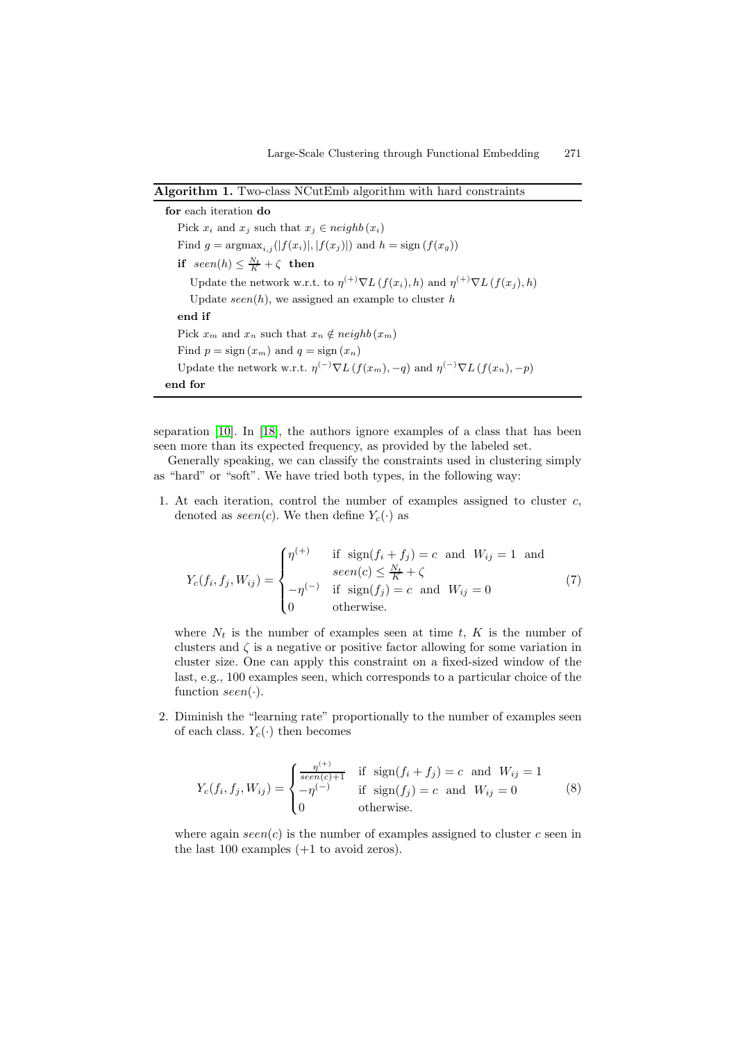| <b>Algorithm 1.</b> Two-class NCutEmb algorithm with hard constraints |  |  |  |
|-----------------------------------------------------------------------|--|--|--|
|                                                                       |  |  |  |

**for** each iteration **do** Pick  $x_i$  and  $x_j$  such that  $x_j \in \text{neighbour}(x_i)$ Find  $g = \operatorname{argmax}_{i,j}(|f(x_i)|, |f(x_j)|)$  and  $h = \operatorname{sign}(f(x_g))$ **if**  $seen(h) \leq \frac{N_t}{K} + \zeta$  **then** Update the network w.r.t. to  $\eta^{(+)}\nabla L(f(x_i), h)$  and  $\eta^{(+)}\nabla L(f(x_j), h)$ Update  $seen(h)$ , we assigned an example to cluster h **end if** Pick  $x_m$  and  $x_n$  such that  $x_n \notin \text{neighbour}(x_m)$ Find  $p = sign(x_m)$  and  $q = sign(x_n)$ Update the network w.r.t.  $\eta^{(-)} \nabla L(f(x_m), -q)$  and  $\eta^{(-)} \nabla L(f(x_m), -p)$ **end for**

<span id="page-5-1"></span><span id="page-5-0"></span>separation [\[10\]](#page-14-13). In [\[18\]](#page-14-14), the authors ignore examples of a class that has been seen more than its expected frequency, as provided by the labeled set.

Generally speaking, we can classify the constraints used in clustering simply as "hard" or "soft". We have tried both types, in the following way:

1. At each iteration, control the number of examples assigned to cluster  $c$ , denoted as  $seen(c)$ . We then define  $Y_c(\cdot)$  as

$$
Y_c(f_i, f_j, W_{ij}) = \begin{cases} \eta^{(+)} & \text{if } \operatorname{sign}(f_i + f_j) = c \text{ and } W_{ij} = 1 \text{ and} \\ seen(c) \le \frac{N_t}{K} + \zeta \\ -\eta^{(-)} & \text{if } \operatorname{sign}(f_j) = c \text{ and } W_{ij} = 0 \\ 0 & \text{otherwise.} \end{cases}
$$
(7)

where  $N_t$  is the number of examples seen at time t, K is the number of clusters and  $\zeta$  is a negative or positive factor allowing for some variation in cluster size. One can apply this constraint on a fixed-sized window of the last, e.g., 100 examples seen, which corresponds to a particular choice of the function  $seen(\cdot)$ .

2. Diminish the "learning rate" proportionally to the number of examples seen of each class.  $Y_c(\cdot)$  then becomes

$$
Y_c(f_i, f_j, W_{ij}) = \begin{cases} \frac{\eta^{(+)}}{\operatorname{seen}(c)+1} & \text{if } \operatorname{sign}(f_i + f_j) = c \text{ and } W_{ij} = 1\\ -\eta^{(-)} & \text{if } \operatorname{sign}(f_j) = c \text{ and } W_{ij} = 0\\ 0 & \text{otherwise.} \end{cases} \tag{8}
$$

where again  $seen(c)$  is the number of examples assigned to cluster c seen in the last  $100$  examples  $(+1$  to avoid zeros).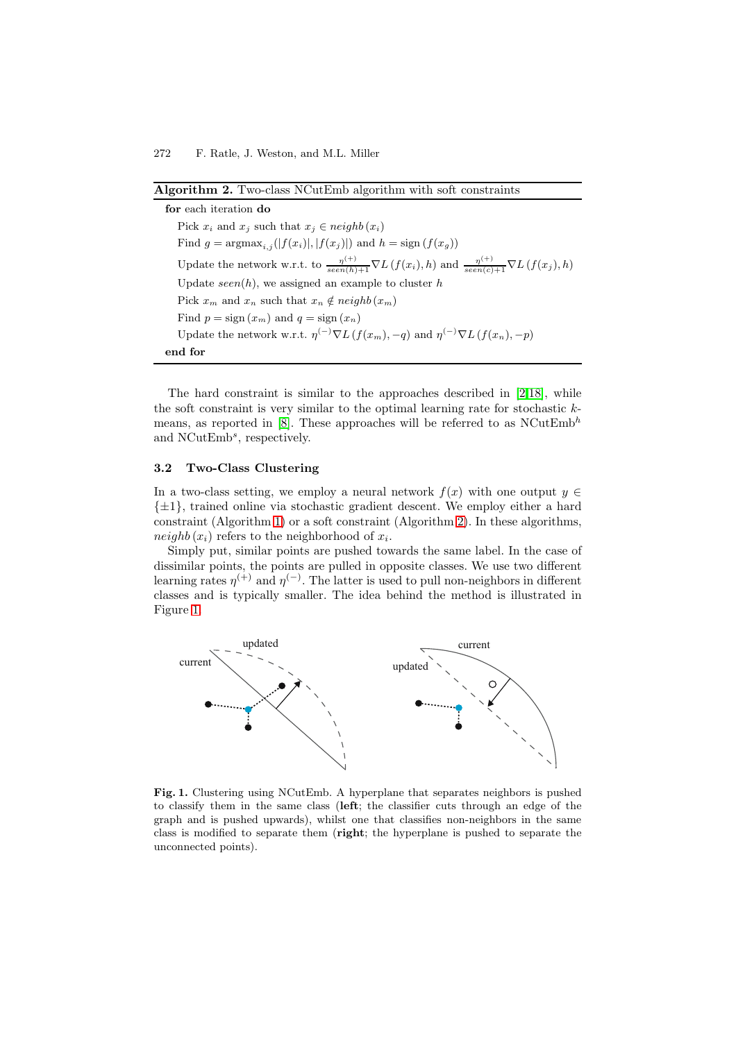| Algorithm 2. Two-class NCutEmb algorithm with soft constraints |  |
|----------------------------------------------------------------|--|
|----------------------------------------------------------------|--|

**for** each iteration **do** Pick  $x_i$  and  $x_j$  such that  $x_j \in \text{neighbour}(x_i)$ Find  $g = \operatorname{argmax}_{i,j}(|f(x_i)|, |f(x_j)|)$  and  $h = \operatorname{sign}(f(x_g))$ Update the network w.r.t. to  $\frac{\eta^{(+)}}{seen(h)+1} \nabla L(f(x_i), h)$  and  $\frac{\eta^{(+)}}{seen(c)+1} \nabla L(f(x_j), h)$ Update  $seen(h)$ , we assigned an example to cluster h Pick  $x_m$  and  $x_n$  such that  $x_n \notin \text{neighbour}(x_m)$ Find  $p = sign(x_m)$  and  $q = sign(x_n)$ Update the network w.r.t.  $\eta^{(-)} \nabla L(f(x_m), -q)$  and  $\eta^{(-)} \nabla L(f(x_m), -p)$ **end for**

The hard constraint is similar to the approaches described in [\[2](#page-14-11)[,18\]](#page-14-14), while the soft constraint is very similar to the optimal learning rate for stochastic k-means, as reported in [\[8\]](#page-14-15). These approaches will be referred to as  $NCutEmb<sup>h</sup>$ and NCutEmb<sup>s</sup>, respectively.

# **3.2 Two-Class Clustering**

In a two-class setting, we employ a neural network  $f(x)$  with one output  $y \in$  $\{\pm 1\}$ , trained online via stochastic gradient descent. We employ either a hard constraint (Algorithm [1\)](#page-5-0) or a soft constraint (Algorithm [2\)](#page-5-1). In these algorithms,  $neighb(x_i)$  refers to the neighborhood of  $x_i$ .

Simply put, similar points are pushed towards the same label. In the case of dissimilar points, the points are pulled in opposite classes. We use two different learning rates  $\eta^{(+)}$  and  $\eta^{(-)}$ . The latter is used to pull non-neighbors in different classes and is typically smaller. The idea behind the method is illustrated in classes and is typically smaller. The idea behind the method is illustrated in Figure [1.](#page-6-0)



<span id="page-6-0"></span>Fig. 1. Clustering using NCutEmb. A hyperplane that separates neighbors is pushed to classify them in the same class (**left**; the classifier cuts through an edge of the graph and is pushed upwards), whilst one that classifies non-neighbors in the same class is modified to separate them (**right**; the hyperplane is pushed to separate the unconnected points).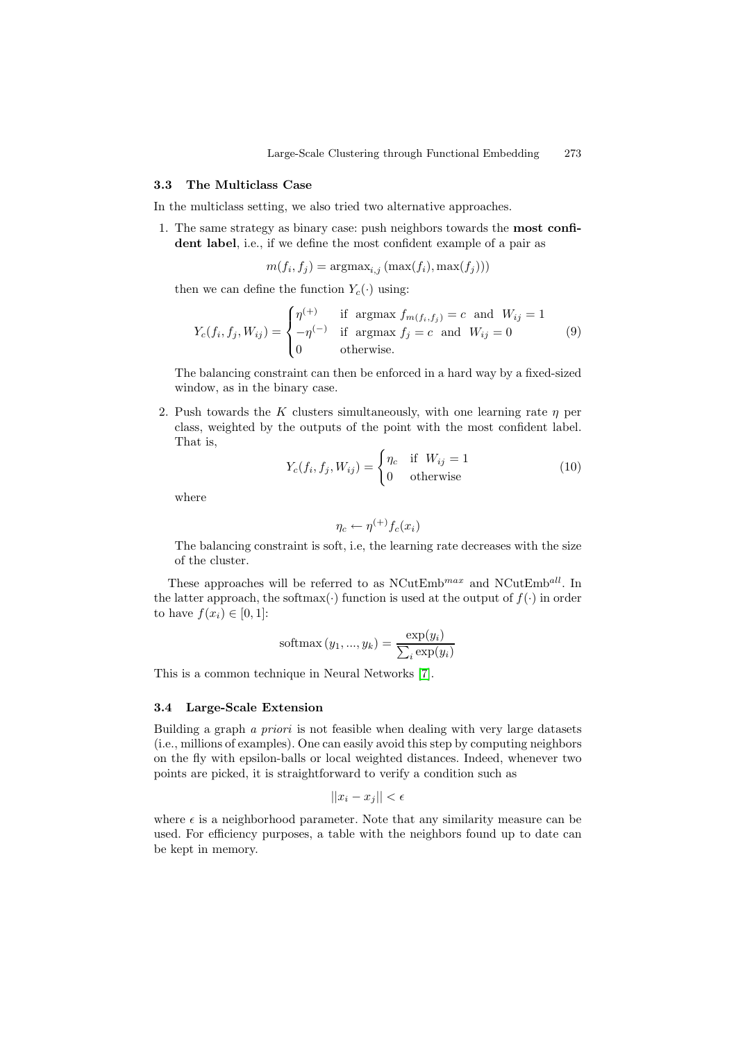### <span id="page-7-0"></span>**3.3 The Multiclass Case**

In the multiclass setting, we also tried two alternative approaches.

1. The same strategy as binary case: push neighbors towards the **most confi**dent label, i.e., if we define the most confident example of a pair as

 $m(f_i, f_j) = \operatorname{argmax}_{i,j} (\operatorname{max}(f_i), \operatorname{max}(f_j)))$ 

then we can define the function  $Y_c(\cdot)$  using:

$$
Y_c(f_i, f_j, W_{ij}) = \begin{cases} \eta^{(+)} & \text{if } \operatorname{argmax} f_{m(f_i, f_j)} = c \text{ and } W_{ij} = 1\\ -\eta^{(-)} & \text{if } \operatorname{argmax} f_j = c \text{ and } W_{ij} = 0\\ 0 & \text{otherwise.} \end{cases}
$$
(9)

The balancing constraint can then be enforced in a hard way by a fixed-sized window, as in the binary case.

2. Push towards the K clusters simultaneously, with one learning rate  $\eta$  per class, weighted by the outputs of the point with the most confident label. That is,

$$
Y_c(f_i, f_j, W_{ij}) = \begin{cases} \eta_c & \text{if } W_{ij} = 1\\ 0 & \text{otherwise} \end{cases}
$$
 (10)

where

$$
\eta_c \leftarrow \eta^{(+)} f_c(x_i)
$$

The balancing constraint is soft, i.e, the learning rate decreases with the size of the cluster.

These approaches will be referred to as  $NCutEmb^{max}$  and  $NCutEmb^{all}$ . In the latter approach, the softmax(·) function is used at the output of  $f(\cdot)$  in order to have  $f(x_i) \in [0,1]$ :

$$
\text{softmax}(y_1, ..., y_k) = \frac{\exp(y_i)}{\sum_i \exp(y_i)}
$$

This is a common technique in Neural Networks [\[7\]](#page-14-16).

#### **3.4 Large-Scale Extension**

Building a graph *a priori* is not feasible when dealing with very large datasets (i.e., millions of examples). One can easily avoid this step by computing neighbors on the fly with epsilon-balls or local weighted distances. Indeed, whenever two points are picked, it is straightforward to verify a condition such as

$$
||x_i - x_j|| < \epsilon
$$

where  $\epsilon$  is a neighborhood parameter. Note that any similarity measure can be used. For efficiency purposes, a table with the neighbors found up to date can be kept in memory.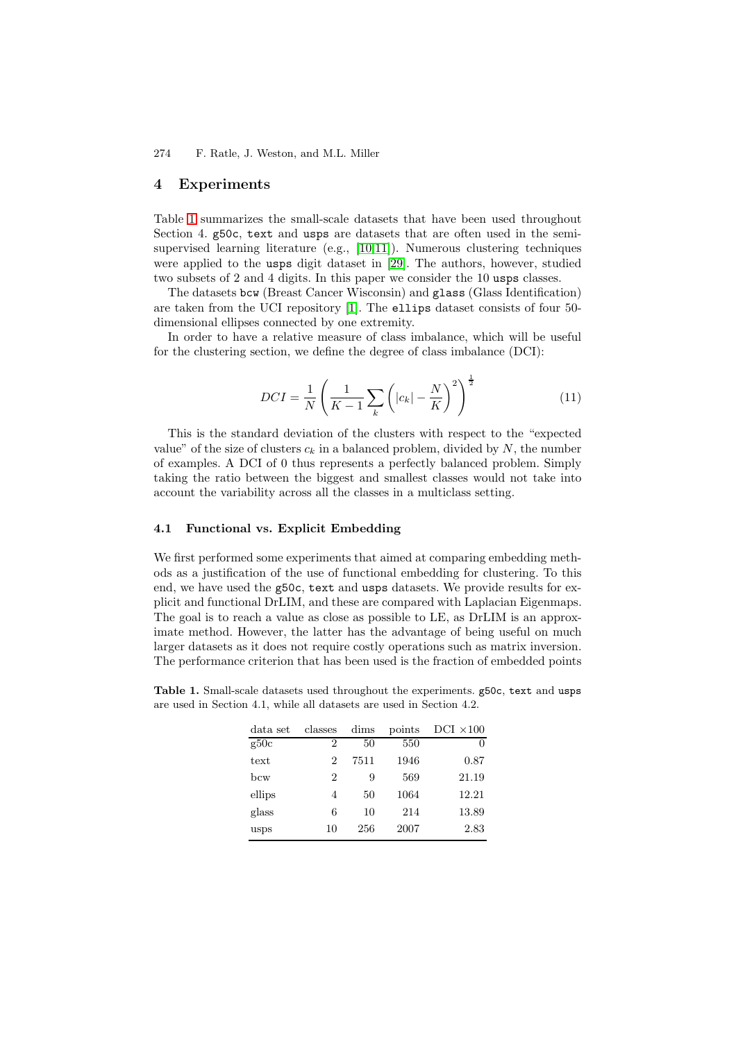# **4 Experiments**

Table [1](#page-8-0) summarizes the small-scale datasets that have been used throughout Section 4. g50c, text and usps are datasets that are often used in the semisupervised learning literature (e.g., [\[10](#page-14-13)[,11\]](#page-14-17)). Numerous clustering techniques were applied to the usps digit dataset in [\[29\]](#page-15-11). The authors, however, studied two subsets of 2 and 4 digits. In this paper we consider the 10 usps classes.

The datasets bcw (Breast Cancer Wisconsin) and glass (Glass Identification) are taken from the UCI repository [\[1\]](#page-14-18). The ellips dataset consists of four 50 dimensional ellipses connected by one extremity.

<span id="page-8-1"></span>In order to have a relative measure of class imbalance, which will be useful for the clustering section, we define the degree of class imbalance (DCI):

$$
DCI = \frac{1}{N} \left( \frac{1}{K - 1} \sum_{k} \left( |c_k| - \frac{N}{K} \right)^2 \right)^{\frac{1}{2}}
$$
(11)

This is the standard deviation of the clusters with respect to the "expected value" of the size of clusters  $c_k$  in a balanced problem, divided by  $N$ , the number of examples. A DCI of 0 thus represents a perfectly balanced problem. Simply taking the ratio between the biggest and smallest classes would not take into account the variability across all the classes in a multiclass setting.

### **4.1 Functional vs. Explicit Embedding**

We first performed some experiments that aimed at comparing embedding methods as a justification of the use of functional embedding for clustering. To this end, we have used the g50c, text and usps datasets. We provide results for explicit and functional DrLIM, and these are compared with Laplacian Eigenmaps. The goal is to reach a value as close as possible to LE, as DrLIM is an approximate method. However, the latter has the advantage of being useful on much larger datasets as it does not require costly operations such as matrix inversion. The performance criterion that has been used is the fraction of embedded points

<span id="page-8-0"></span>**Table 1.** Small-scale datasets used throughout the experiments. g50c, text and usps are used in Section 4.1, while all datasets are used in Section 4.2.

| data set | classes | dims | points | $DCI \times 100$ |
|----------|---------|------|--------|------------------|
| g50c     | 2       | 50   | 550    | $\mathbf{0}$     |
| text     | 2       | 7511 | 1946   | 0.87             |
| bcw      | 2       | 9    | 569    | 21.19            |
| ellips   | 4       | 50   | 1064   | 12.21            |
| glass    | 6       | 10   | 214    | 13.89            |
| usps     | 10      | 256  | 2007   | 2.83             |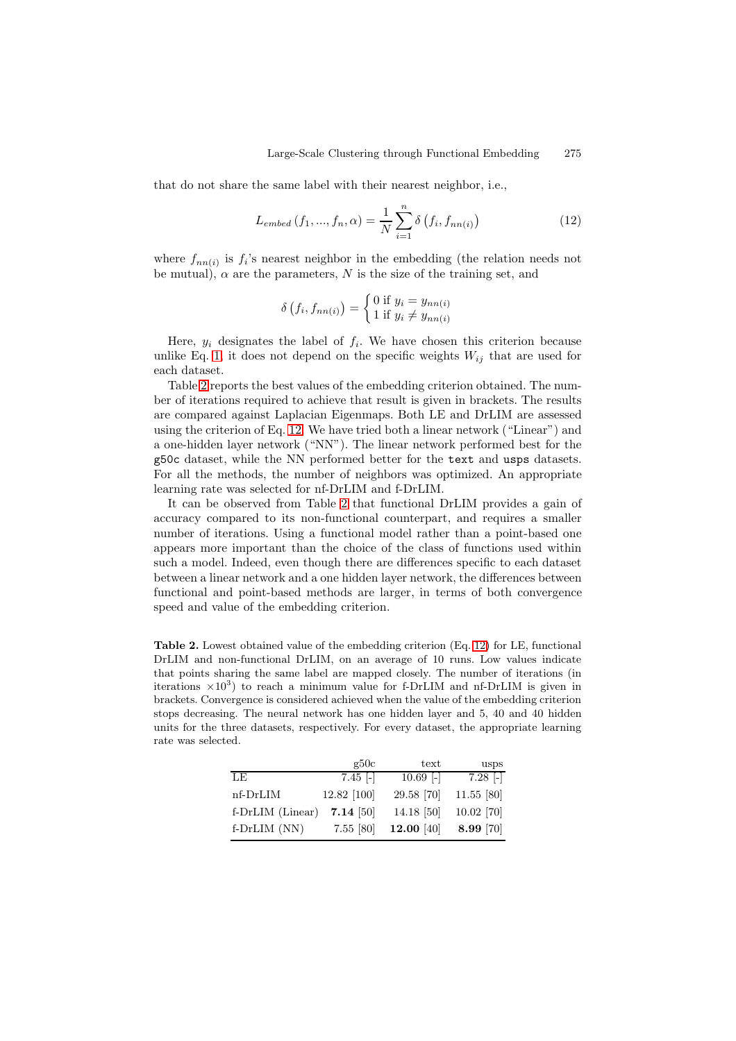that do not share the same label with their nearest neighbor, i.e.,

<span id="page-9-1"></span>
$$
L_{embed}(f_1, ..., f_n, \alpha) = \frac{1}{N} \sum_{i=1}^{n} \delta(f_i, f_{nn(i)})
$$
\n(12)

where  $f_{nn(i)}$  is  $f_i$ 's nearest neighbor in the embedding (the relation needs not be mutual),  $\alpha$  are the parameters, N is the size of the training set, and

$$
\delta\left(f_i, f_{nn(i)}\right) = \begin{cases} 0 \text{ if } y_i = y_{nn(i)} \\ 1 \text{ if } y_i \neq y_{nn(i)} \end{cases}
$$

Here,  $y_i$  designates the label of  $f_i$ . We have chosen this criterion because unlike Eq. [1,](#page-1-0) it does not depend on the specific weights  $W_{ij}$  that are used for each dataset.

Table [2](#page-9-0) reports the best values of the embedding criterion obtained. The number of iterations required to achieve that result is given in brackets. The results are compared against Laplacian Eigenmaps. Both LE and DrLIM are assessed using the criterion of Eq. [12.](#page-9-1) We have tried both a linear network ("Linear") and a one-hidden layer network ("NN"). The linear network performed best for the g50c dataset, while the NN performed better for the text and usps datasets. For all the methods, the number of neighbors was optimized. An appropriate learning rate was selected for nf-DrLIM and f-DrLIM.

It can be observed from Table [2](#page-9-0) that functional DrLIM provides a gain of accuracy compared to its non-functional counterpart, and requires a smaller number of iterations. Using a functional model rather than a point-based one appears more important than the choice of the class of functions used within such a model. Indeed, even though there are differences specific to each dataset between a linear network and a one hidden layer network, the differences between functional and point-based methods are larger, in terms of both convergence speed and value of the embedding criterion.

<span id="page-9-0"></span>**Table 2.** Lowest obtained value of the embedding criterion (Eq. [12\)](#page-9-1) for LE, functional DrLIM and non-functional DrLIM, on an average of 10 runs. Low values indicate that points sharing the same label are mapped closely. The number of iterations (in iterations  $\times 10^3$ ) to reach a minimum value for f-DrLIM and nf-DrLIM is given in brackets. Convergence is considered achieved when the value of the embedding criterion stops decreasing. The neural network has one hidden layer and 5, 40 and 40 hidden units for the three datasets, respectively. For every dataset, the appropriate learning rate was selected.

|                  | g50c        | text        | usps                     |
|------------------|-------------|-------------|--------------------------|
| LE               | $7.45$ [-]  | $10.69$ [-] | $7.28$ $\lceil - \rceil$ |
| nf-DrLIM         | 12.82 [100] | 29.58 [70]  | $11.55$ [80]             |
| f-DrLIM (Linear) | $7.14$ [50] | 14.18 [50]  | $10.02$ [70]             |
| f-DrLIM (NN)     | 7.55 [80]   | 12.00 [40]  | 8.99 [70]                |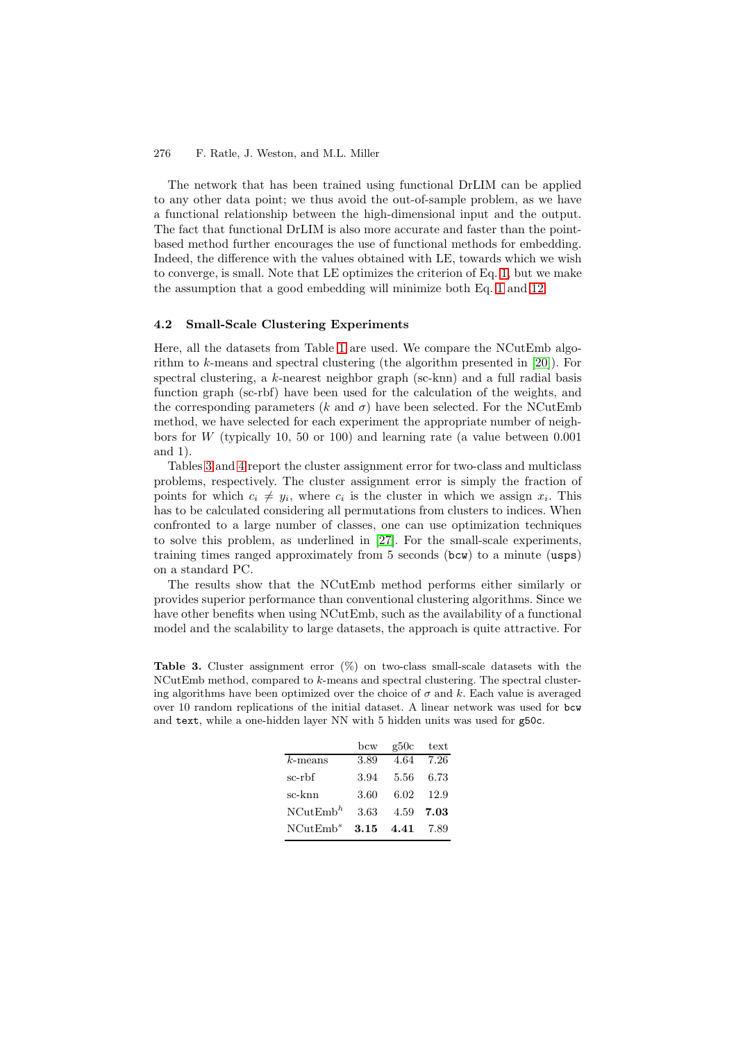The network that has been trained using functional DrLIM can be applied to any other data point; we thus avoid the out-of-sample problem, as we have a functional relationship between the high-dimensional input and the output. The fact that functional DrLIM is also more accurate and faster than the pointbased method further encourages the use of functional methods for embedding. Indeed, the difference with the values obtained with LE, towards which we wish to converge, is small. Note that LE optimizes the criterion of Eq. [1,](#page-1-0) but we make the assumption that a good embedding will minimize both Eq. [1](#page-1-0) and [12.](#page-9-1)

#### **4.2 Small-Scale Clustering Experiments**

Here, all the datasets from Table [1](#page-8-0) are used. We compare the NCutEmb algorithm to k-means and spectral clustering (the algorithm presented in [\[20\]](#page-15-0)). For spectral clustering, a  $k$ -nearest neighbor graph (sc-knn) and a full radial basis function graph (sc-rbf) have been used for the calculation of the weights, and the corresponding parameters (k and  $\sigma$ ) have been selected. For the NCutEmb method, we have selected for each experiment the appropriate number of neighbors for W (typically 10, 50 or 100) and learning rate (a value between 0.001 and 1).

Tables [3](#page-10-0) and [4](#page-11-0) report the cluster assignment error for two-class and multiclass problems, respectively. The cluster assignment error is simply the fraction of points for which  $c_i \neq y_i$ , where  $c_i$  is the cluster in which we assign  $x_i$ . This has to be calculated considering all permutations from clusters to indices. When confronted to a large number of classes, one can use optimization techniques to solve this problem, as underlined in [\[27\]](#page-15-12). For the small-scale experiments, training times ranged approximately from 5 seconds (bcw) to a minute (usps) on a standard PC.

The results show that the NCutEmb method performs either similarly or provides superior performance than conventional clustering algorithms. Since we have other benefits when using NCutEmb, such as the availability of a functional model and the scalability to large datasets, the approach is quite attractive. For

<span id="page-10-0"></span>**Table 3.** Cluster assignment error (%) on two-class small-scale datasets with the NCutEmb method, compared to k-means and spectral clustering. The spectral clustering algorithms have been optimized over the choice of  $\sigma$  and k. Each value is averaged over 10 random replications of the initial dataset. A linear network was used for bcw and text, while a one-hidden layer NN with 5 hidden units was used for g50c.

|                      | bcw  | g50c | text |
|----------------------|------|------|------|
| $k$ -means           | 3.89 | 4.64 | 7.26 |
| sc-rbf               | 3.94 | 5.56 | 6.73 |
| sc-knn               | 3.60 | 6.02 | 12.9 |
| NCutEmb <sup>h</sup> | 3.63 | 4.59 | 7.03 |
| NCutEmb <sup>s</sup> | 3.15 | 4.41 | 7.89 |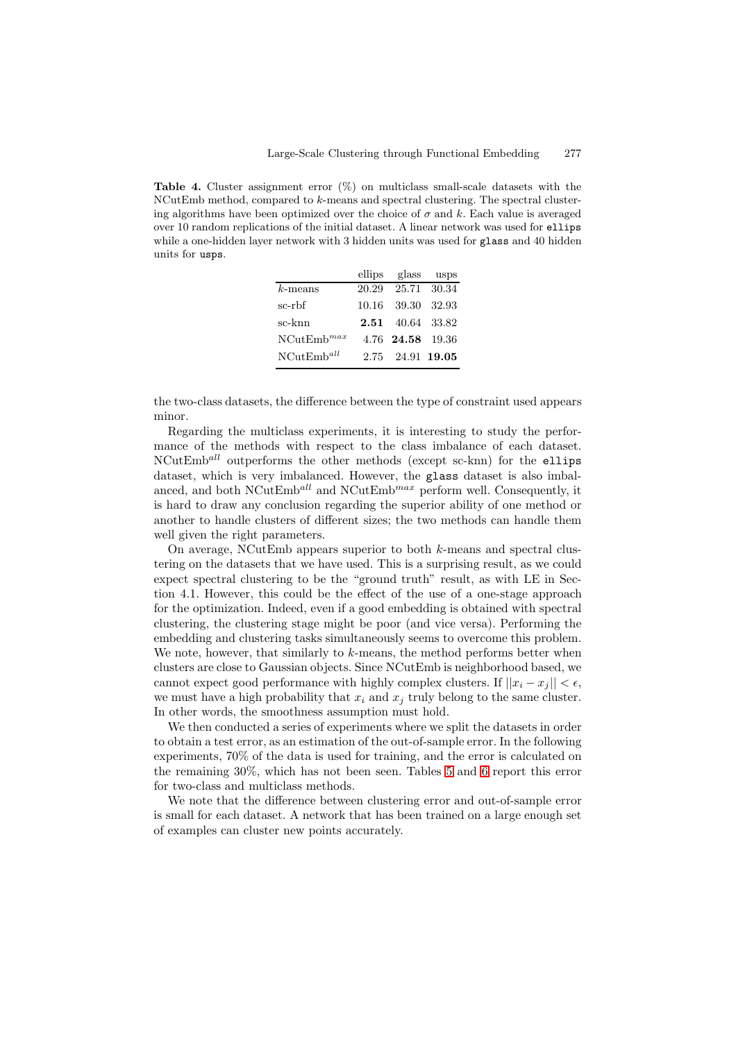<span id="page-11-0"></span>**Table 4.** Cluster assignment error (%) on multiclass small-scale datasets with the NCutEmb method, compared to k-means and spectral clustering. The spectral clustering algorithms have been optimized over the choice of  $\sigma$  and k. Each value is averaged over 10 random replications of the initial dataset. A linear network was used for ellips while a one-hidden layer network with 3 hidden units was used for glass and 40 hidden units for usps.

|                        | ellips |                  | glass usps |
|------------------------|--------|------------------|------------|
| $k$ -means             | 20.29  | 25.71 30.34      |            |
| sc-rbf                 | 10.16  | 39.30 32.93      |            |
| sc-knn                 |        | 2.51 40.64 33.82 |            |
| $NCutEmb^{max}$        |        | 4.76 24.58 19.36 |            |
| NCutEmb <sup>all</sup> |        | 2.75 24.91 19.05 |            |

the two-class datasets, the difference between the type of constraint used appears minor.

Regarding the multiclass experiments, it is interesting to study the performance of the methods with respect to the class imbalance of each dataset. NCutEmb<sup>all</sup> outperforms the other methods (except sc-knn) for the ellips dataset, which is very imbalanced. However, the glass dataset is also imbalanced, and both  $NCutEmb^{all}$  and  $NCutEmb^{max}$  perform well. Consequently, it is hard to draw any conclusion regarding the superior ability of one method or another to handle clusters of different sizes; the two methods can handle them well given the right parameters.

On average, NCutEmb appears superior to both k-means and spectral clustering on the datasets that we have used. This is a surprising result, as we could expect spectral clustering to be the "ground truth" result, as with LE in Section 4.1. However, this could be the effect of the use of a one-stage approach for the optimization. Indeed, even if a good embedding is obtained with spectral clustering, the clustering stage might be poor (and vice versa). Performing the embedding and clustering tasks simultaneously seems to overcome this problem. We note, however, that similarly to  $k$ -means, the method performs better when clusters are close to Gaussian objects. Since NCutEmb is neighborhood based, we cannot expect good performance with highly complex clusters. If  $||x_i - x_j|| < \epsilon$ , we must have a high probability that  $x_i$  and  $x_j$  truly belong to the same cluster. In other words, the smoothness assumption must hold.

We then conducted a series of experiments where we split the datasets in order to obtain a test error, as an estimation of the out-of-sample error. In the following experiments, 70% of the data is used for training, and the error is calculated on the remaining 30%, which has not been seen. Tables [5](#page-12-0) and [6](#page-12-1) report this error for two-class and multiclass methods.

We note that the difference between clustering error and out-of-sample error is small for each dataset. A network that has been trained on a large enough set of examples can cluster new points accurately.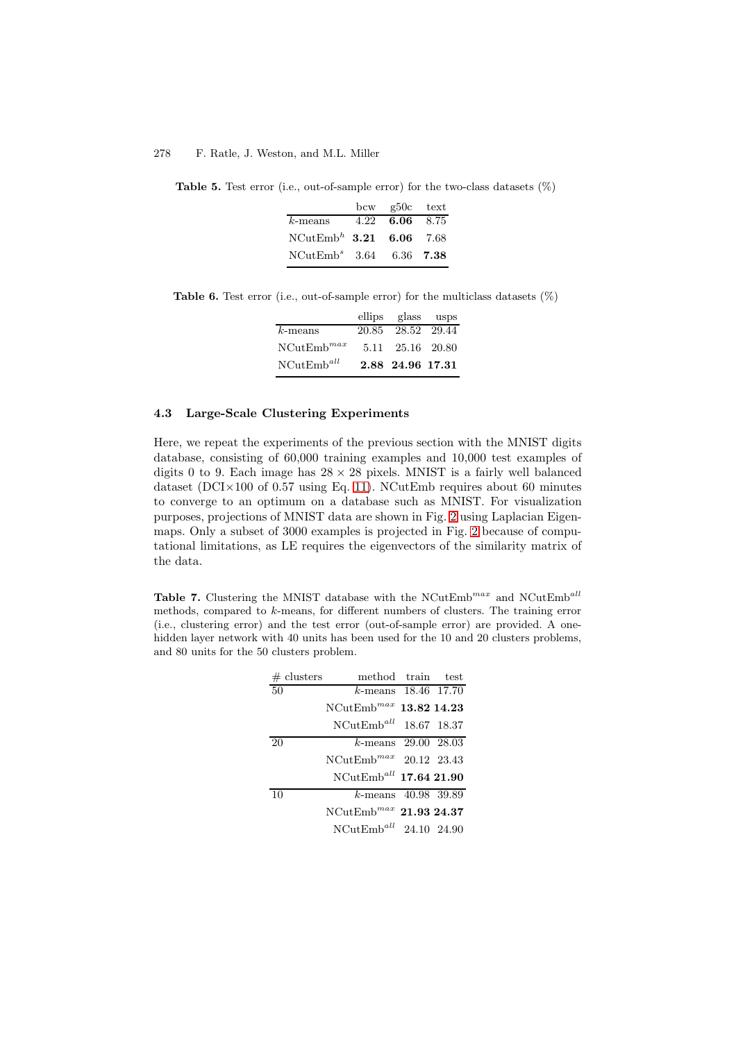|                                | bcw | $g50c$ text       |           |
|--------------------------------|-----|-------------------|-----------|
| $k$ -means                     |     | $4.22 \quad 6.06$ | - 8.75    |
| NCutEmb <sup>h</sup> 3.21 6.06 |     |                   | - 7.68    |
| $NCutEmb^s$ 3.64               |     |                   | 6.36 7.38 |

<span id="page-12-0"></span>**Table 5.** Test error (i.e., out-of-sample error) for the two-class datasets  $(\%)$ 

<span id="page-12-1"></span>**Table 6.** Test error (i.e., out-of-sample error) for the multiclass datasets  $(\%)$ 

|                        | ellips |                   | glass usps |
|------------------------|--------|-------------------|------------|
| $k$ -means             |        | 20.85 28.52 29.44 |            |
| $NCutEmb^{max}$        |        | 5.11 25.16 20.80  |            |
| NCutEmb <sup>all</sup> |        | 2.88 24.96 17.31  |            |

## **4.3 Large-Scale Clustering Experiments**

Here, we repeat the experiments of the previous section with the MNIST digits database, consisting of 60,000 training examples and 10,000 test examples of digits 0 to 9. Each image has  $28 \times 28$  pixels. MNIST is a fairly well balanced dataset ( $DCI \times 100$  of 0.57 using Eq. [11\)](#page-8-1). NCutEmb requires about 60 minutes to converge to an optimum on a database such as MNIST. For visualization purposes, projections of MNIST data are shown in Fig. [2](#page-13-0) using Laplacian Eigenmaps. Only a subset of 3000 examples is projected in Fig. [2](#page-13-0) because of computational limitations, as LE requires the eigenvectors of the similarity matrix of the data.

<span id="page-12-2"></span>**Table 7.** Clustering the MNIST database with the NCutEmb<sup>max</sup> and NCutEmb<sup>all</sup> methods, compared to k-means, for different numbers of clusters. The training error (i.e., clustering error) and the test error (out-of-sample error) are provided. A onehidden layer network with 40 units has been used for the 10 and 20 clusters problems, and 80 units for the 50 clusters problem.

| $#$ clusters | method train test                               |             |
|--------------|-------------------------------------------------|-------------|
| 50           | $k$ -means 18.46 17.70                          |             |
|              | NCutEmb <sup><math>max</math></sup> 13.82 14.23 |             |
|              | NCutEmb <sup>all</sup>                          | 18.67 18.37 |
| 20           | $k$ -means 29.00 28.03                          |             |
|              | $NCutEmb^{max}$ 20.12 23.43                     |             |
|              | $NCutEmb^{all}$ 17.64 21.90                     |             |
| 10           | $k$ -means 40.98 39.89                          |             |
|              | NCutEmb <sup><math>max</math></sup> 21.93 24.37 |             |
|              | $NCutEmball$ 24.10 24.90                        |             |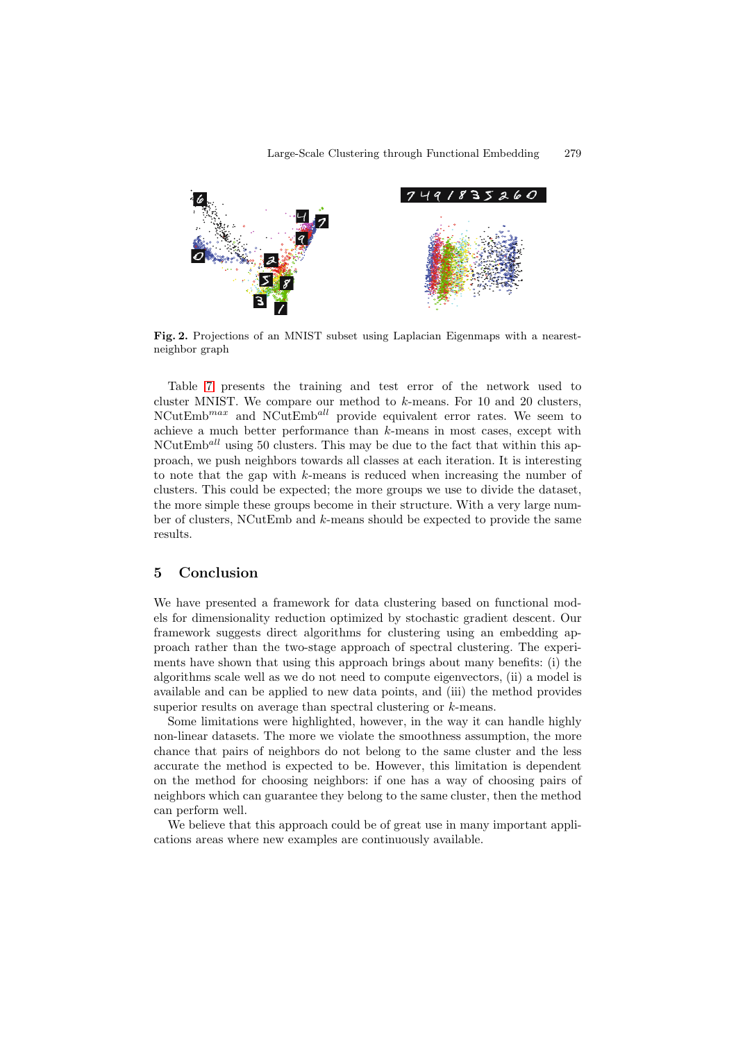

<span id="page-13-0"></span>**Fig. 2.** Projections of an MNIST subset using Laplacian Eigenmaps with a nearestneighbor graph

Table [7](#page-12-2) presents the training and test error of the network used to cluster MNIST. We compare our method to k-means. For 10 and 20 clusters, NCutEmb<sup>*max*</sup> and NCutEmb<sup>*all*</sup> provide equivalent error rates. We seem to achieve a much better performance than k-means in most cases, except with  $NCutEmb<sup>all</sup>$  using 50 clusters. This may be due to the fact that within this approach, we push neighbors towards all classes at each iteration. It is interesting to note that the gap with k-means is reduced when increasing the number of clusters. This could be expected; the more groups we use to divide the dataset, the more simple these groups become in their structure. With a very large number of clusters, NCutEmb and k-means should be expected to provide the same results.

# **5 Conclusion**

We have presented a framework for data clustering based on functional models for dimensionality reduction optimized by stochastic gradient descent. Our framework suggests direct algorithms for clustering using an embedding approach rather than the two-stage approach of spectral clustering. The experiments have shown that using this approach brings about many benefits: (i) the algorithms scale well as we do not need to compute eigenvectors, (ii) a model is available and can be applied to new data points, and (iii) the method provides superior results on average than spectral clustering or k-means.

Some limitations were highlighted, however, in the way it can handle highly non-linear datasets. The more we violate the smoothness assumption, the more chance that pairs of neighbors do not belong to the same cluster and the less accurate the method is expected to be. However, this limitation is dependent on the method for choosing neighbors: if one has a way of choosing pairs of neighbors which can guarantee they belong to the same cluster, then the method can perform well.

We believe that this approach could be of great use in many important applications areas where new examples are continuously available.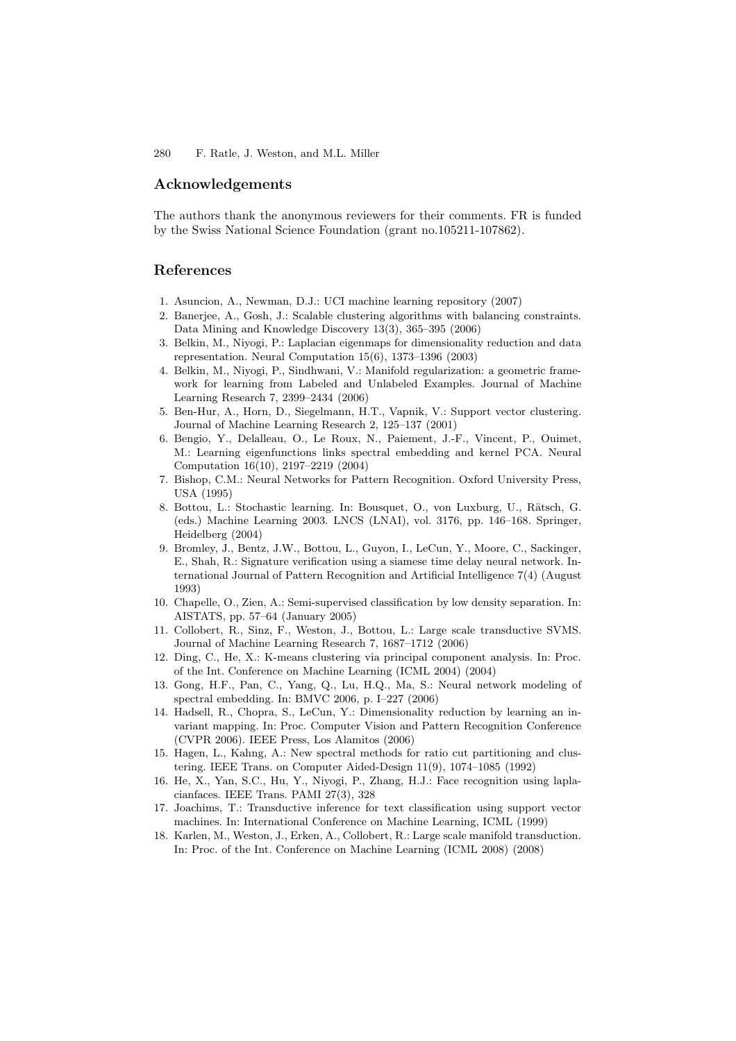# **Acknowledgements**

The authors thank the anonymous reviewers for their comments. FR is funded by the Swiss National Science Foundation (grant no.105211-107862).

# <span id="page-14-18"></span><span id="page-14-11"></span><span id="page-14-2"></span>**References**

- 1. Asuncion, A., Newman, D.J.: UCI machine learning repository (2007)
- 2. Banerjee, A., Gosh, J.: Scalable clustering algorithms with balancing constraints. Data Mining and Knowledge Discovery 13(3), 365–395 (2006)
- <span id="page-14-1"></span>3. Belkin, M., Niyogi, P.: Laplacian eigenmaps for dimensionality reduction and data representation. Neural Computation 15(6), 1373–1396 (2003)
- <span id="page-14-3"></span>4. Belkin, M., Niyogi, P., Sindhwani, V.: Manifold regularization: a geometric framework for learning from Labeled and Unlabeled Examples. Journal of Machine Learning Research 7, 2399–2434 (2006)
- <span id="page-14-0"></span>5. Ben-Hur, A., Horn, D., Siegelmann, H.T., Vapnik, V.: Support vector clustering. Journal of Machine Learning Research 2, 125–137 (2001)
- <span id="page-14-6"></span>6. Bengio, Y., Delalleau, O., Le Roux, N., Paiement, J.-F., Vincent, P., Ouimet, M.: Learning eigenfunctions links spectral embedding and kernel PCA. Neural Computation 16(10), 2197–2219 (2004)
- <span id="page-14-16"></span>7. Bishop, C.M.: Neural Networks for Pattern Recognition. Oxford University Press, USA (1995)
- <span id="page-14-15"></span>8. Bottou, L.: Stochastic learning. In: Bousquet, O., von Luxburg, U., Rätsch, G. (eds.) Machine Learning 2003. LNCS (LNAI), vol. 3176, pp. 146–168. Springer, Heidelberg (2004)
- <span id="page-14-8"></span>9. Bromley, J., Bentz, J.W., Bottou, L., Guyon, I., LeCun, Y., Moore, C., Sackinger, E., Shah, R.: Signature verification using a siamese time delay neural network. International Journal of Pattern Recognition and Artificial Intelligence 7(4) (August 1993)
- <span id="page-14-13"></span>10. Chapelle, O., Zien, A.: Semi-supervised classification by low density separation. In: AISTATS, pp. 57–64 (January 2005)
- <span id="page-14-17"></span>11. Collobert, R., Sinz, F., Weston, J., Bottou, L.: Large scale transductive SVMS. Journal of Machine Learning Research 7, 1687–1712 (2006)
- <span id="page-14-9"></span><span id="page-14-4"></span>12. Ding, C., He, X.: K-means clustering via principal component analysis. In: Proc. of the Int. Conference on Machine Learning (ICML 2004) (2004)
- 13. Gong, H.F., Pan, C., Yang, Q., Lu, H.Q., Ma, S.: Neural network modeling of spectral embedding. In: BMVC 2006, p. I–227 (2006)
- <span id="page-14-5"></span>14. Hadsell, R., Chopra, S., LeCun, Y.: Dimensionality reduction by learning an invariant mapping. In: Proc. Computer Vision and Pattern Recognition Conference (CVPR 2006). IEEE Press, Los Alamitos (2006)
- <span id="page-14-10"></span>15. Hagen, L., Kahng, A.: New spectral methods for ratio cut partitioning and clustering. IEEE Trans. on Computer Aided-Design 11(9), 1074–1085 (1992)
- <span id="page-14-7"></span>16. He, X., Yan, S.C., Hu, Y., Niyogi, P., Zhang, H.J.: Face recognition using laplacianfaces. IEEE Trans. PAMI 27(3), 328
- <span id="page-14-12"></span>17. Joachims, T.: Transductive inference for text classification using support vector machines. In: International Conference on Machine Learning, ICML (1999)
- <span id="page-14-14"></span>18. Karlen, M., Weston, J., Erken, A., Collobert, R.: Large scale manifold transduction. In: Proc. of the Int. Conference on Machine Learning (ICML 2008) (2008)